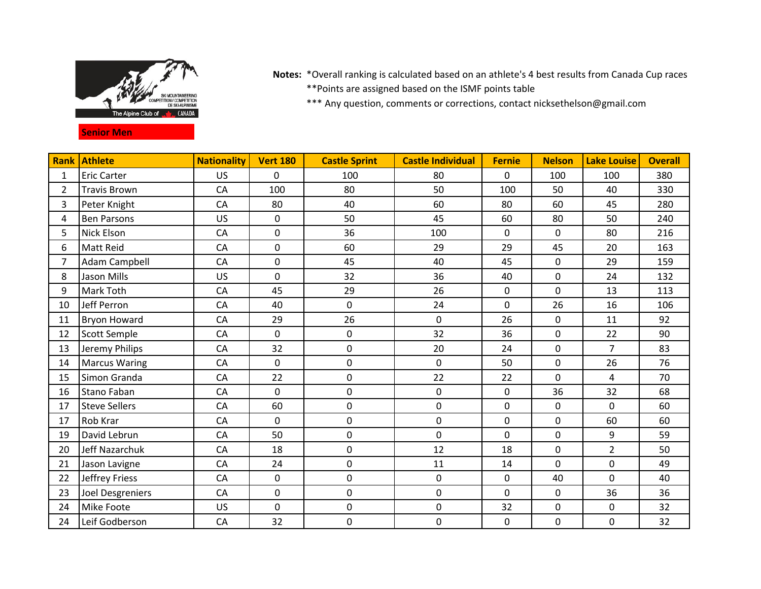

## **Senior Men**

Notes: \*Overall ranking is calculated based on an athlete's 4 best results from Canada Cup races \*\*Points are assigned based on the ISMF points table

\*\*\* Any question, comments or corrections, contact nicksethelson@gmail.com

| <b>Rank</b>    | Athlete              | <b>Nationality</b> | <b>Vert 180</b> | <b>Castle Sprint</b> | <b>Castle Individual</b> | <b>Fernie</b> | <b>Nelson</b> | <b>Lake Louise</b> | <b>Overall</b> |
|----------------|----------------------|--------------------|-----------------|----------------------|--------------------------|---------------|---------------|--------------------|----------------|
| 1              | <b>Eric Carter</b>   | <b>US</b>          | $\Omega$        | 100                  | 80                       | $\mathbf{0}$  | 100           | 100                | 380            |
| $\overline{2}$ | <b>Travis Brown</b>  | CA                 | 100             | 80                   | 50                       | 100           | 50            | 40                 | 330            |
| $\overline{3}$ | Peter Knight         | CA                 | 80              | 40                   | 60                       | 80            | 60            | 45                 | 280            |
| $\overline{4}$ | <b>Ben Parsons</b>   | <b>US</b>          | $\mathbf{0}$    | 50                   | 45                       | 60            | 80            | 50                 | 240            |
| 5              | <b>Nick Elson</b>    | CA                 | 0               | 36                   | 100                      | $\mathbf 0$   | $\mathbf 0$   | 80                 | 216            |
| 6              | <b>Matt Reid</b>     | CA                 | 0               | 60                   | 29                       | 29            | 45            | 20                 | 163            |
| $\overline{7}$ | Adam Campbell        | CA                 | 0               | 45                   | 40                       | 45            | $\mathbf 0$   | 29                 | 159            |
| 8              | Jason Mills          | <b>US</b>          | $\mathbf 0$     | 32                   | 36                       | 40            | $\mathbf 0$   | 24                 | 132            |
| 9              | <b>Mark Toth</b>     | CA                 | 45              | 29                   | 26                       | $\mathbf 0$   | $\Omega$      | 13                 | 113            |
| 10             | Jeff Perron          | CA                 | 40              | $\pmb{0}$            | 24                       | $\mathbf 0$   | 26            | 16                 | 106            |
| 11             | <b>Bryon Howard</b>  | CA                 | 29              | 26                   | $\pmb{0}$                | 26            | 0             | 11                 | 92             |
| 12             | <b>Scott Semple</b>  | CA                 | 0               | 0                    | 32                       | 36            | 0             | 22                 | 90             |
| 13             | Jeremy Philips       | CA                 | 32              | 0                    | 20                       | 24            | $\mathbf 0$   | $\overline{7}$     | 83             |
| 14             | <b>Marcus Waring</b> | CA                 | 0               | 0                    | $\pmb{0}$                | 50            | $\mathbf 0$   | 26                 | 76             |
| 15             | Simon Granda         | CA                 | 22              | 0                    | 22                       | 22            | $\Omega$      | 4                  | 70             |
| 16             | <b>Stano Faban</b>   | CA                 | $\Omega$        | 0                    | $\mathbf 0$              | $\mathbf 0$   | 36            | 32                 | 68             |
| 17             | <b>Steve Sellers</b> | CA                 | 60              | 0                    | 0                        | $\mathbf 0$   | 0             | 0                  | 60             |
| 17             | <b>Rob Krar</b>      | CA                 | 0               | 0                    | 0                        | $\mathbf 0$   | 0             | 60                 | 60             |
| 19             | David Lebrun         | CA                 | 50              | 0                    | $\pmb{0}$                | $\mathbf 0$   | $\mathbf 0$   | 9                  | 59             |
| 20             | Jeff Nazarchuk       | CA                 | 18              | 0                    | 12                       | 18            | 0             | $\overline{2}$     | 50             |
| 21             | Jason Lavigne        | CA                 | 24              | 0                    | 11                       | 14            | $\mathbf 0$   | $\pmb{0}$          | 49             |
| 22             | Jeffrey Friess       | CA                 | $\mathbf 0$     | 0                    | $\mathbf 0$              | $\mathbf 0$   | 40            | $\mathbf 0$        | 40             |
| 23             | Joel Desgreniers     | CA                 | 0               | 0                    | $\mathbf 0$              | $\mathbf 0$   | $\mathbf{0}$  | 36                 | 36             |
| 24             | <b>Mike Foote</b>    | <b>US</b>          | $\mathbf 0$     | 0                    | 0                        | 32            | 0             | 0                  | 32             |
| 24             | Leif Godberson       | CA                 | 32              | 0                    | $\mathbf 0$              | $\mathbf 0$   | $\mathbf 0$   | $\pmb{0}$          | 32             |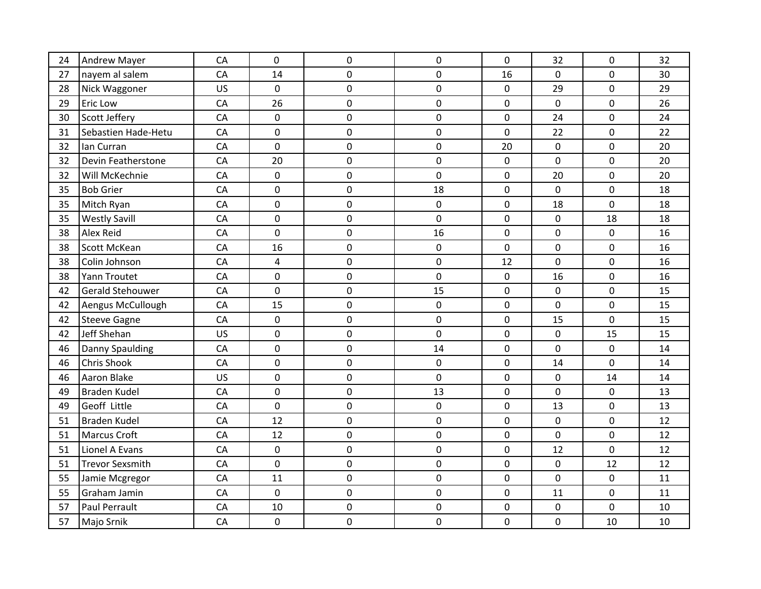| 24 | <b>Andrew Mayer</b>    | CA        | $\mathbf 0$ | 0 | 0                | $\mathbf 0$ | 32          | 0  | 32 |
|----|------------------------|-----------|-------------|---|------------------|-------------|-------------|----|----|
| 27 | nayem al salem         | CA        | 14          | 0 | $\mathbf 0$      | 16          | 0           | 0  | 30 |
| 28 | Nick Waggoner          | <b>US</b> | 0           | 0 | $\boldsymbol{0}$ | $\mathbf 0$ | 29          | 0  | 29 |
| 29 | Eric Low               | CA        | 26          | 0 | $\boldsymbol{0}$ | $\pmb{0}$   | $\mathbf 0$ | 0  | 26 |
| 30 | Scott Jeffery          | CA        | $\mathbf 0$ | 0 | $\boldsymbol{0}$ | $\mathbf 0$ | 24          | 0  | 24 |
| 31 | Sebastien Hade-Hetu    | CA        | $\pmb{0}$   | 0 | $\mathbf 0$      | $\pmb{0}$   | 22          | 0  | 22 |
| 32 | lan Curran             | CA        | $\mathbf 0$ | 0 | $\boldsymbol{0}$ | 20          | $\mathbf 0$ | 0  | 20 |
| 32 | Devin Featherstone     | CA        | 20          | 0 | $\boldsymbol{0}$ | $\mathbf 0$ | $\mathbf 0$ | 0  | 20 |
| 32 | Will McKechnie         | CA        | $\mathbf 0$ | 0 | $\boldsymbol{0}$ | $\mathbf 0$ | 20          | 0  | 20 |
| 35 | <b>Bob Grier</b>       | CA        | $\mathbf 0$ | 0 | 18               | $\mathbf 0$ | $\mathbf 0$ | 0  | 18 |
| 35 | Mitch Ryan             | CA        | 0           | 0 | 0                | $\mathbf 0$ | 18          | 0  | 18 |
| 35 | <b>Westly Savill</b>   | CA        | $\mathbf 0$ | 0 | $\boldsymbol{0}$ | $\mathbf 0$ | 0           | 18 | 18 |
| 38 | Alex Reid              | CA        | $\mathbf 0$ | 0 | 16               | $\mathbf 0$ | 0           | 0  | 16 |
| 38 | Scott McKean           | CA        | 16          | 0 | $\boldsymbol{0}$ | $\mathbf 0$ | 0           | 0  | 16 |
| 38 | Colin Johnson          | CA        | 4           | 0 | $\mathbf 0$      | 12          | 0           | 0  | 16 |
| 38 | Yann Troutet           | CA        | $\mathbf 0$ | 0 | $\mathbf 0$      | $\mathbf 0$ | 16          | 0  | 16 |
| 42 | Gerald Stehouwer       | CA        | $\mathbf 0$ | 0 | 15               | $\mathbf 0$ | 0           | 0  | 15 |
| 42 | Aengus McCullough      | CA        | 15          | 0 | $\boldsymbol{0}$ | $\pmb{0}$   | 0           | 0  | 15 |
| 42 | <b>Steeve Gagne</b>    | CA        | $\pmb{0}$   | 0 | $\mathbf 0$      | $\pmb{0}$   | 15          | 0  | 15 |
| 42 | Jeff Shehan            | <b>US</b> | $\pmb{0}$   | 0 | $\mathbf 0$      | $\pmb{0}$   | $\pmb{0}$   | 15 | 15 |
| 46 | Danny Spaulding        | CA        | $\pmb{0}$   | 0 | 14               | $\pmb{0}$   | 0           | 0  | 14 |
| 46 | Chris Shook            | CA        | $\mathbf 0$ | 0 | $\mathbf 0$      | $\mathbf 0$ | 14          | 0  | 14 |
| 46 | <b>Aaron Blake</b>     | US        | $\mathbf 0$ | 0 | $\mathbf 0$      | $\mathbf 0$ | $\mathbf 0$ | 14 | 14 |
| 49 | <b>Braden Kudel</b>    | CA        | $\pmb{0}$   | 0 | 13               | $\mathbf 0$ | $\mathbf 0$ | 0  | 13 |
| 49 | Geoff Little           | CA        | $\mathbf 0$ | 0 | $\mathbf 0$      | $\mathbf 0$ | 13          | 0  | 13 |
| 51 | <b>Braden Kudel</b>    | CA        | 12          | 0 | $\mathbf 0$      | $\mathbf 0$ | 0           | 0  | 12 |
| 51 | <b>Marcus Croft</b>    | CA        | 12          | 0 | $\boldsymbol{0}$ | $\pmb{0}$   | 0           | 0  | 12 |
| 51 | Lionel A Evans         | CA        | $\pmb{0}$   | 0 | $\pmb{0}$        | $\mathbf 0$ | 12          | 0  | 12 |
| 51 | <b>Trevor Sexsmith</b> | CA        | $\pmb{0}$   | 0 | $\pmb{0}$        | $\pmb{0}$   | 0           | 12 | 12 |
| 55 | Jamie Mcgregor         | CA        | 11          | 0 | $\mathbf 0$      | $\pmb{0}$   | 0           | 0  | 11 |
| 55 | Graham Jamin           | CA        | $\pmb{0}$   | 0 | $\boldsymbol{0}$ | $\pmb{0}$   | 11          | 0  | 11 |
| 57 | Paul Perrault          | CA        | 10          | 0 | $\boldsymbol{0}$ | $\mathbf 0$ | 0           | 0  | 10 |
| 57 | Majo Srnik             | CA        | $\pmb{0}$   | 0 | $\boldsymbol{0}$ | 0           | 0           | 10 | 10 |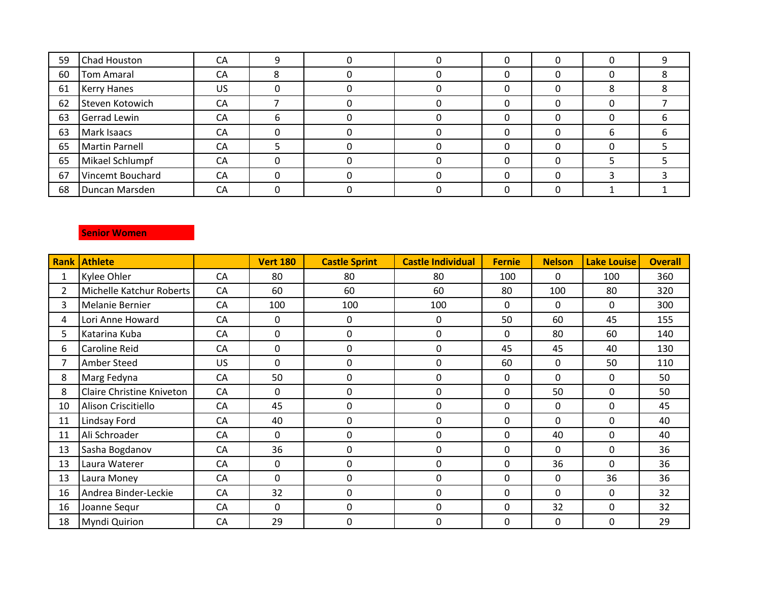| 59 | Chad Houston           | СA |   |  |  | 0        |  |
|----|------------------------|----|---|--|--|----------|--|
| 60 | Tom Amaral             | CA |   |  |  | $\Omega$ |  |
| 61 | <b>Kerry Hanes</b>     | US |   |  |  | 8        |  |
| 62 | <b>Steven Kotowich</b> | СA |   |  |  |          |  |
| 63 | <b>Gerrad Lewin</b>    | CA | h |  |  | 0        |  |
| 63 | Mark Isaacs            | СA |   |  |  | 6        |  |
| 65 | <b>Martin Parnell</b>  | CA |   |  |  | 0        |  |
| 65 | Mikael Schlumpf        | CA |   |  |  |          |  |
| 67 | Vincemt Bouchard       | CA |   |  |  |          |  |
| 68 | Duncan Marsden         | CA |   |  |  |          |  |

## **Senior Women**

| Rank        | <b>Athlete</b>                   |           | <b>Vert 180</b> | <b>Castle Sprint</b> | <b>Castle Individual</b> | <b>Fernie</b> | <b>Nelson</b> | <b>Lake Louise</b> | <b>Overall</b> |
|-------------|----------------------------------|-----------|-----------------|----------------------|--------------------------|---------------|---------------|--------------------|----------------|
|             | Kylee Ohler                      | CA        | 80              | 80                   | 80                       | 100           | 0             | 100                | 360            |
| $2^{\circ}$ | Michelle Katchur Roberts         | <b>CA</b> | 60              | 60                   | 60                       | 80            | 100           | 80                 | 320            |
| 3           | Melanie Bernier                  | CA        | 100             | 100                  | 100                      | $\mathbf{0}$  | $\mathbf{0}$  | $\mathbf{0}$       | 300            |
| 4           | Lori Anne Howard                 | CA        | 0               | $\mathbf 0$          | $\mathbf{0}$             | 50            | 60            | 45                 | 155            |
| 5.          | Katarina Kuba                    | CA        | 0               | 0                    | 0                        | $\mathbf{0}$  | 80            | 60                 | 140            |
| 6           | <b>Caroline Reid</b>             | <b>CA</b> | 0               | 0                    | 0                        | 45            | 45            | 40                 | 130            |
|             | <b>Amber Steed</b>               | US        | 0               | 0                    | 0                        | 60            | 0             | 50                 | 110            |
| 8           | Marg Fedyna                      | <b>CA</b> | 50              | 0                    | 0                        | 0             | 0             | 0                  | 50             |
| 8           | <b>Claire Christine Kniveton</b> | <b>CA</b> | 0               | 0                    | 0                        | 0             | 50            | 0                  | 50             |
| 10          | Alison Criscitiello              | <b>CA</b> | 45              | 0                    | 0                        | 0             | 0             | 0                  | 45             |
| 11          | Lindsay Ford                     | CA        | 40              | 0                    | 0                        | $\mathbf{0}$  | $\mathbf{0}$  | 0                  | 40             |
| 11          | Ali Schroader                    | <b>CA</b> | $\mathbf{0}$    | 0                    | 0                        | $\mathbf{0}$  | 40            | 0                  | 40             |
| 13          | Sasha Bogdanov                   | CA        | 36              | 0                    | 0                        | $\mathbf{0}$  | 0             | $\mathbf 0$        | 36             |
| 13          | Laura Waterer                    | CA        | 0               | 0                    | 0                        | $\mathbf{0}$  | 36            | 0                  | 36             |
| 13          | Laura Money                      | <b>CA</b> | 0               | 0                    | $\mathbf{0}$             | 0             | $\mathbf{0}$  | 36                 | 36             |
| 16          | Andrea Binder-Leckie             | <b>CA</b> | 32              | 0                    | 0                        | $\mathbf{0}$  | $\mathbf{0}$  | 0                  | 32             |
| 16          | Joanne Sequr                     | CA        | $\Omega$        | 0                    | 0                        | 0             | 32            | 0                  | 32             |
| 18          | <b>Myndi Quirion</b>             | <b>CA</b> | 29              | 0                    | 0                        | 0             | $\mathbf{0}$  | 0                  | 29             |